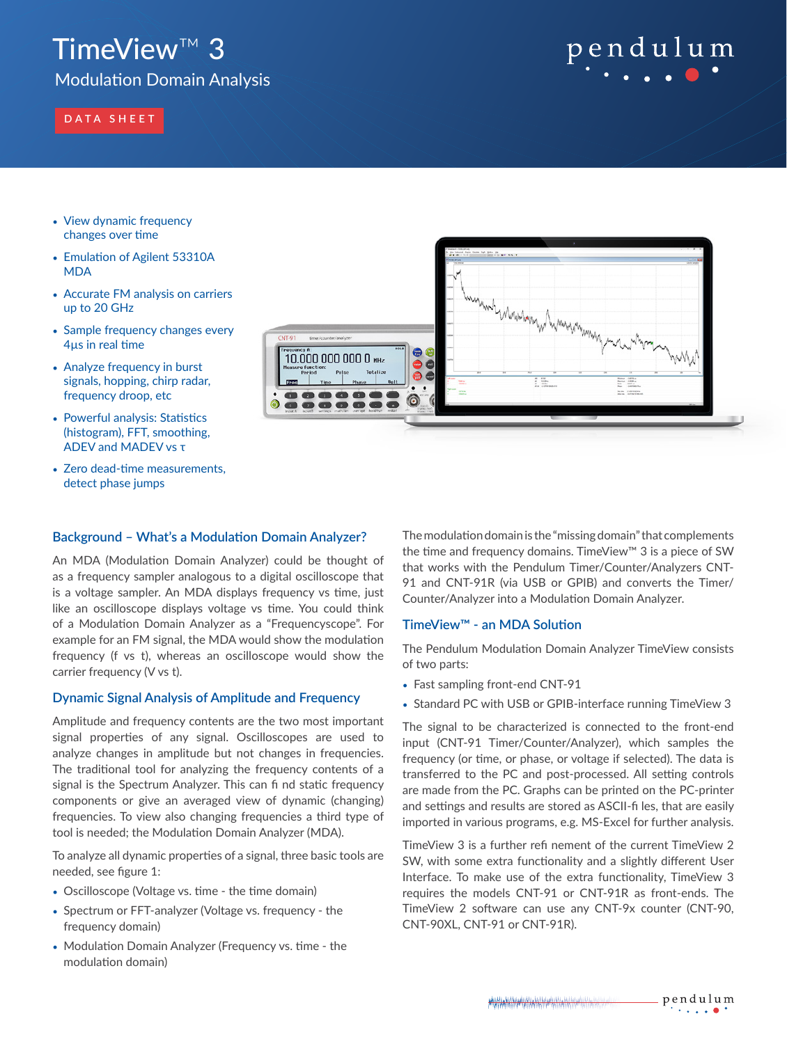## TimeView™ 3

Modulation Domain Analysis

## **DATA SHEET**

# pendulum

- View dynamic frequency changes over time
- Emulation of Agilent 53310A **MDA**
- Accurate FM analysis on carriers up to 20 GHz
- Sample frequency changes every 4µs in real time
- Analyze frequency in burst signals, hopping, chirp radar, frequency droop, etc
- Powerful analysis: Statistics (histogram), FFT, smoothing, ADEV and MADEV vs τ
- Zero dead-time measurements, detect phase jumps



## **Background – What's a Modulation Domain Analyzer?**

An MDA (Modulation Domain Analyzer) could be thought of as a frequency sampler analogous to a digital oscilloscope that is a voltage sampler. An MDA displays frequency vs time, just like an oscilloscope displays voltage vs time. You could think of a Modulation Domain Analyzer as a "Frequencyscope". For example for an FM signal, the MDA would show the modulation frequency (f vs t), whereas an oscilloscope would show the carrier frequency (V vs t).

## **Dynamic Signal Analysis of Amplitude and Frequency**

Amplitude and frequency contents are the two most important signal properties of any signal. Oscilloscopes are used to analyze changes in amplitude but not changes in frequencies. The traditional tool for analyzing the frequency contents of a signal is the Spectrum Analyzer. This can fi nd static frequency components or give an averaged view of dynamic (changing) frequencies. To view also changing frequencies a third type of tool is needed; the Modulation Domain Analyzer (MDA).

To analyze all dynamic properties of a signal, three basic tools are needed, see figure 1:

- Oscilloscope (Voltage vs. time the time domain)
- Spectrum or FFT-analyzer (Voltage vs. frequency the frequency domain)
- Modulation Domain Analyzer (Frequency vs. time the modulation domain)

The modulation domain is the "missing domain" that complements the time and frequency domains. TimeView™ 3 is a piece of SW that works with the Pendulum Timer/Counter/Analyzers CNT-91 and CNT-91R (via USB or GPIB) and converts the Timer/ Counter/Analyzer into a Modulation Domain Analyzer.

## **TimeView™ - an MDA Solution**

The Pendulum Modulation Domain Analyzer TimeView consists of two parts:

- Fast sampling front-end CNT-91
- Standard PC with USB or GPIB-interface running TimeView 3

The signal to be characterized is connected to the front-end input (CNT-91 Timer/Counter/Analyzer), which samples the frequency (or time, or phase, or voltage if selected). The data is transferred to the PC and post-processed. All setting controls are made from the PC. Graphs can be printed on the PC-printer and settings and results are stored as ASCII-fi les, that are easily imported in various programs, e.g. MS-Excel for further analysis.

TimeView 3 is a further refi nement of the current TimeView 2 SW, with some extra functionality and a slightly different User Interface. To make use of the extra functionality, TimeView 3 requires the models CNT-91 or CNT-91R as front-ends. The TimeView 2 software can use any CNT-9x counter (CNT-90, CNT-90XL, CNT-91 or CNT-91R).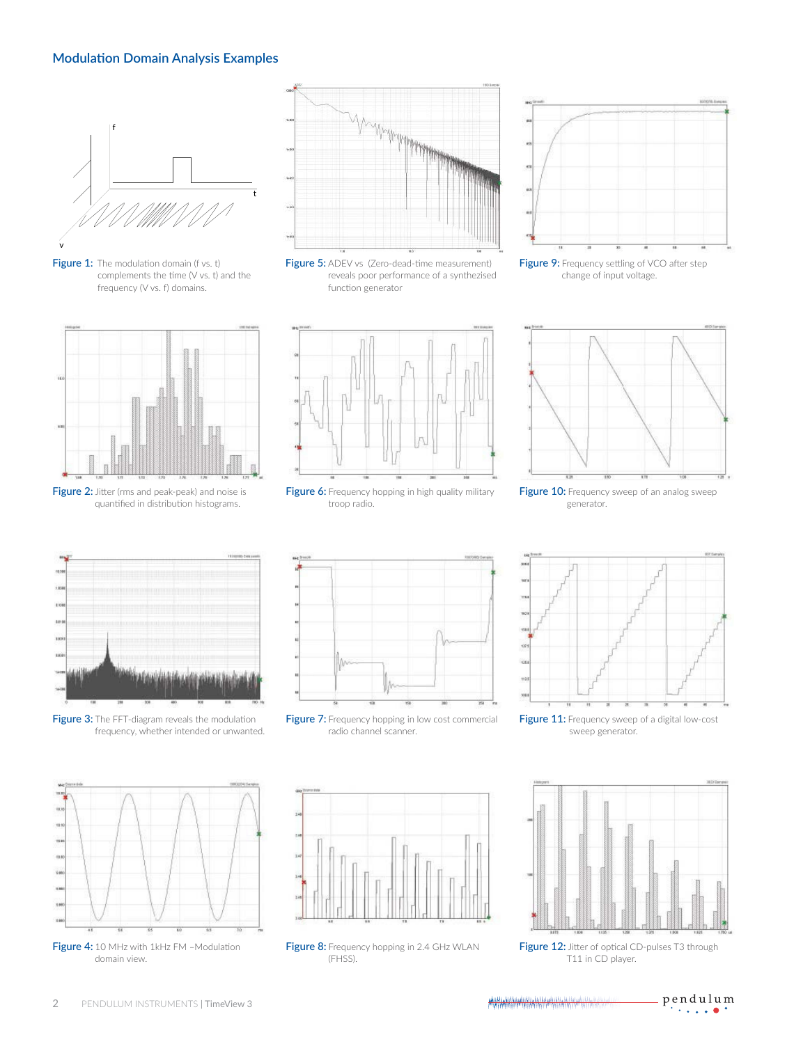## **Modulation Domain Analysis Examples**



Figure 1: The modulation domain (f vs. t) complements the time (V vs. t) and the frequency (V vs. f) domains.



Figure 2: Jitter (rms and peak-peak) and noise is quantified in distribution histograms.



Figure 5: ADEV vs (Zero-dead-time measurement) reveals poor performance of a synthezised function generator



Figure 9: Frequency settling of VCO after step change of input voltage.



Figure 6: Frequency hopping in high quality military troop radio.



Figure 10: Frequency sweep of an analog sweep generator.



Figure 3: The FFT-diagram reveals the modulation frequency, whether intended or unwanted.



Figure 7: Frequency hopping in low cost commercial radio channel scanner.



Figure 11: Frequency sweep of a digital low-cost sweep generator.



Figure 12: Jitter of optical CD-pulses T3 through T11 in CD player.





Figure 8: Frequency hopping in 2.4 GHz WLAN (FHSS).